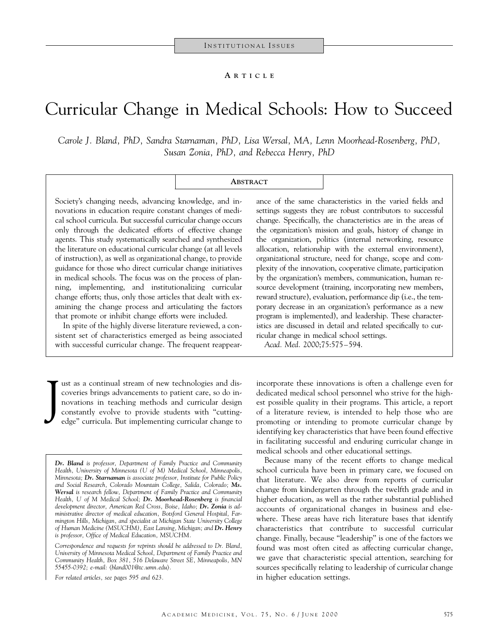# **A RTICLE**

# Curricular Change in Medical Schools: How to Succeed

*Carole J. Bland, PhD, Sandra Starnaman, PhD, Lisa Wersal, MA, Lenn Moorhead-Rosenberg, PhD, Susan Zonia, PhD, and Rebecca Henry, PhD*

## **ABSTRACT**

Society's changing needs, advancing knowledge, and innovations in education require constant changes of medical school curricula. But successful curricular change occurs only through the dedicated efforts of effective change agents. This study systematically searched and synthesized the literature on educational curricular change (at all levels of instruction), as well as organizational change, to provide guidance for those who direct curricular change initiatives in medical schools. The focus was on the process of planning, implementing, and institutionalizing curricular change efforts; thus, only those articles that dealt with examining the change process and articulating the factors that promote or inhibit change efforts were included.

In spite of the highly diverse literature reviewed, a consistent set of characteristics emerged as being associated with successful curricular change. The frequent reappear-

J ust as a continual stream of new technologies and discoveries brings advancements to patient care, so do innovations in teaching methods and curricular design constantly evolve to provide students with ''cuttingedge'' curricula. But implementing curricular change to

*For related articles, see pages 595 and 623.*

ance of the same characteristics in the varied fields and settings suggests they are robust contributors to successful change. Specifically, the characteristics are in the areas of the organization's mission and goals, history of change in the organization, politics (internal networking, resource allocation, relationship with the external environment), organizational structure, need for change, scope and complexity of the innovation, cooperative climate, participation by the organization's members, communication, human resource development (training, incorporating new members, reward structure), evaluation, performance dip (i.e., the temporary decrease in an organization's performance as a new program is implemented), and leadership. These characteristics are discussed in detail and related specifically to curricular change in medical school settings.

*Acad. Med.* 2000;75:575–594.

incorporate these innovations is often a challenge even for dedicated medical school personnel who strive for the highest possible quality in their programs. This article, a report of a literature review, is intended to help those who are promoting or intending to promote curricular change by identifying key characteristics that have been found effective in facilitating successful and enduring curricular change in medical schools and other educational settings.

Because many of the recent efforts to change medical school curricula have been in primary care, we focused on that literature. We also drew from reports of curricular change from kindergarten through the twelfth grade and in higher education, as well as the rather substantial published accounts of organizational changes in business and elsewhere. These areas have rich literature bases that identify characteristics that contribute to successful curricular change. Finally, because ''leadership'' is one of the factors we found was most often cited as affecting curricular change, we gave that characteristic special attention, searching for sources specifically relating to leadership of curricular change in higher education settings.

*Dr. Bland is professor, Department of Family Practice and Community Health, University of Minnesota (U of M) Medical School, Minneapolis, Minnesota; Dr. Starnaman is associate professor, Institute for Public Policy and Social Research, Colorado Mountain College, Salida, Colorado; Ms. Wersal is research fellow, Department of Family Practice and Community Health, U of M Medical School; Dr. Moorhead-Rosenberg is financial development director, American Red Cross, Boise, Idaho; Dr. Zonia is administrative director of medical education, Botsford General Hospital, Farmington Hills, Michigan, and specialist at Michigan State University College of Human Medicine (MSUCHM), East Lansing, Michigan; and Dr. Henry is professor, Office of Medical Education, MSUCHM.*

*Correspondence and requests for reprints should be addressed to Dr. Bland, University of Minnesota Medical School, Department of Family Practice and Community Health, Box 381, 516 Delaware Street SE, Minneapolis, MN 55455-0392; e-mail:* ^*bland001@tc.umn.edu*&*.*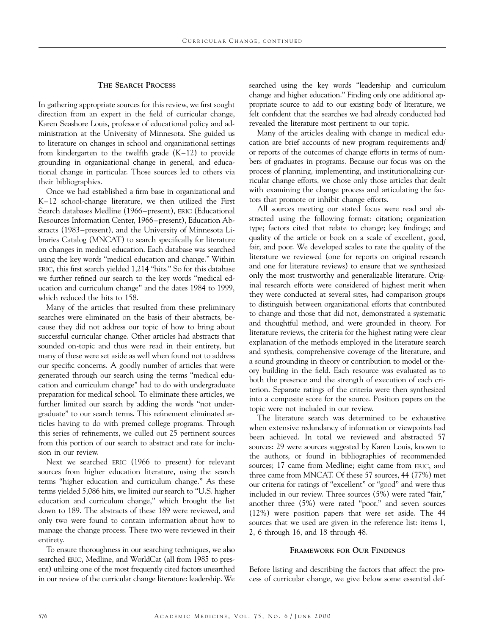# **THE SEARCH PROCESS**

In gathering appropriate sources for this review, we first sought direction from an expert in the field of curricular change, Karen Seashore Louis, professor of educational policy and administration at the University of Minnesota. She guided us to literature on changes in school and organizational settings from kindergarten to the twelfth grade (K–12) to provide grounding in organizational change in general, and educational change in particular. Those sources led to others via their bibliographies.

Once we had established a firm base in organizational and K–12 school-change literature, we then utilized the First Search databases Medline (1966–present), ERIC (Educational Resources Information Center, 1966–present), Education Abstracts (1983–present), and the University of Minnesota Libraries Catalog (MNCAT) to search specifically for literature on changes in medical education. Each database was searched using the key words ''medical education and change.'' Within ERIC, this first search yielded 1,214 ''hits.'' So for this database we further refined our search to the key words ''medical education and curriculum change'' and the dates 1984 to 1999, which reduced the hits to 158.

Many of the articles that resulted from these preliminary searches were eliminated on the basis of their abstracts, because they did not address our topic of how to bring about successful curricular change. Other articles had abstracts that sounded on-topic and thus were read in their entirety, but many of these were set aside as well when found not to address our specific concerns. A goodly number of articles that were generated through our search using the terms ''medical education and curriculum change'' had to do with undergraduate preparation for medical school. To eliminate these articles, we further limited our search by adding the words ''not undergraduate'' to our search terms. This refinement eliminated articles having to do with premed college programs. Through this series of refinements, we culled out 25 pertinent sources from this portion of our search to abstract and rate for inclusion in our review.

Next we searched ERIC (1966 to present) for relevant sources from higher education literature, using the search terms ''higher education and curriculum change.'' As these terms yielded 5,086 hits, we limited our search to ''U.S. higher education and curriculum change,'' which brought the list down to 189. The abstracts of these 189 were reviewed, and only two were found to contain information about how to manage the change process. These two were reviewed in their entirety.

To ensure thoroughness in our searching techniques, we also searched ERIC, Medline, and WorldCat (all from 1985 to present) utilizing one of the most frequently cited factors unearthed in our review of the curricular change literature: leadership. We searched using the key words ''leadership and curriculum change and higher education.'' Finding only one additional appropriate source to add to our existing body of literature, we felt confident that the searches we had already conducted had revealed the literature most pertinent to our topic.

Many of the articles dealing with change in medical education are brief accounts of new program requirements and/ or reports of the outcomes of change efforts in terms of numbers of graduates in programs. Because our focus was on the process of planning, implementing, and institutionalizing curricular change efforts, we chose only those articles that dealt with examining the change process and articulating the factors that promote or inhibit change efforts.

All sources meeting our stated focus were read and abstracted using the following format: citation; organization type; factors cited that relate to change; key findings; and quality of the article or book on a scale of excellent, good, fair, and poor. We developed scales to rate the quality of the literature we reviewed (one for reports on original research and one for literature reviews) to ensure that we synthesized only the most trustworthy and generalizable literature. Original research efforts were considered of highest merit when they were conducted at several sites, had comparison groups to distinguish between organizational efforts that contributed to change and those that did not, demonstrated a systematic and thoughtful method, and were grounded in theory. For literature reviews, the criteria for the highest rating were clear explanation of the methods employed in the literature search and synthesis, comprehensive coverage of the literature, and a sound grounding in theory or contribution to model or theory building in the field. Each resource was evaluated as to both the presence and the strength of execution of each criterion. Separate ratings of the criteria were then synthesized into a composite score for the source. Position papers on the topic were not included in our review.

The literature search was determined to be exhaustive when extensive redundancy of information or viewpoints had been achieved. In total we reviewed and abstracted 57 sources: 29 were sources suggested by Karen Louis, known to the authors, or found in bibliographies of recommended sources; 17 came from Medline; eight came from ERIC, and three came from MNCAT. Of these 57 sources, 44 (77%) met our criteria for ratings of ''excellent'' or ''good'' and were thus included in our review. Three sources (5%) were rated ''fair,'' another three (5%) were rated ''poor,'' and seven sources (12%) were position papers that were set aside. The 44 sources that we used are given in the reference list: items 1, 2, 6 through 16, and 18 through 48.

## **FRAMEWORK FOR OUR FINDINGS**

Before listing and describing the factors that affect the process of curricular change, we give below some essential def-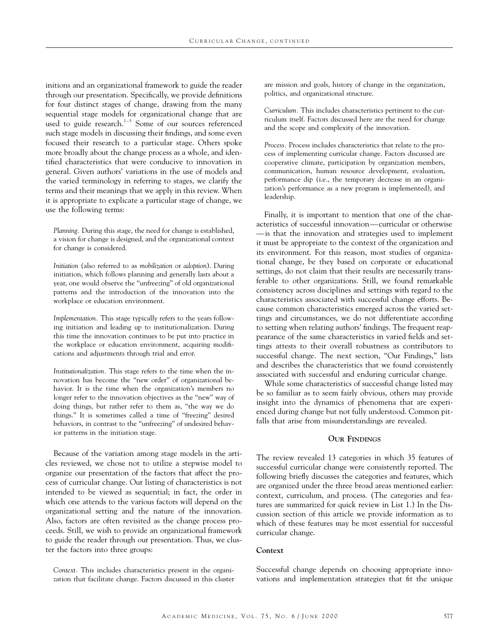initions and an organizational framework to guide the reader through our presentation. Specifically, we provide definitions for four distinct stages of change, drawing from the many sequential stage models for organizational change that are used to guide research. $1-5$  Some of our sources referenced such stage models in discussing their findings, and some even focused their research to a particular stage. Others spoke more broadly about the change process as a whole, and identified characteristics that were conducive to innovation in general. Given authors' variations in the use of models and the varied terminology in referring to stages, we clarify the terms and their meanings that we apply in this review. When it is appropriate to explicate a particular stage of change, we use the following terms:

*Planning.* During this stage, the need for change is established, a vision for change is designed, and the organizational context for change is considered.

*Initiation* (also referred to as *mobilization* or *adoption*). During initiation, which follows planning and generally lasts about a year, one would observe the ''unfreezing'' of old organizational patterns and the introduction of the innovation into the workplace or education environment.

*Implementation.* This stage typically refers to the years following initiation and leading up to institutionalization. During this time the innovation continues to be put into practice in the workplace or education environment, acquiring modifications and adjustments through trial and error.

*Institutionalization.* This stage refers to the time when the innovation has become the ''new order'' of organizational behavior. It is the time when the organization's members no longer refer to the innovation objectives as the ''new'' way of doing things, but rather refer to them as, ''the way we do things.'' It is sometimes called a time of ''freezing'' desired behaviors, in contrast to the ''unfreezing'' of undesired behavior patterns in the initiation stage.

Because of the variation among stage models in the articles reviewed, we chose not to utilize a stepwise model to organize our presentation of the factors that affect the process of curricular change. Our listing of characteristics is not intended to be viewed as sequential; in fact, the order in which one attends to the various factors will depend on the organizational setting and the nature of the innovation. Also, factors are often revisited as the change process proceeds. Still, we wish to provide an organizational framework to guide the reader through our presentation. Thus, we cluster the factors into three groups:

*Context.* This includes characteristics present in the organization that facilitate change. Factors discussed in this cluster

are mission and goals, history of change in the organization, politics, and organizational structure.

*Curriculum.* This includes characteristics pertinent to the curriculum itself. Factors discussed here are the need for change and the scope and complexity of the innovation.

*Process.* Process includes characteristics that relate to the process of implementing curricular change. Factors discussed are cooperative climate, participation by organization members, communication, human resource development, evaluation, performance dip (i.e., the temporary decrease in an organization's performance as a new program is implemented), and leadership.

Finally, it is important to mention that one of the characteristics of successful innovation—curricular or otherwise —is that the innovation and strategies used to implement it must be appropriate to the context of the organization and its environment. For this reason, most studies of organizational change, be they based on corporate or educational settings, do not claim that their results are necessarily transferable to other organizations. Still, we found remarkable consistency across disciplines and settings with regard to the characteristics associated with successful change efforts. Because common characteristics emerged across the varied settings and circumstances, we do not differentiate according to setting when relating authors' findings. The frequent reappearance of the same characteristics in varied fields and settings attests to their overall robustness as contributors to successful change. The next section, ''Our Findings,'' lists and describes the characteristics that we found consistently associated with successful and enduring curricular change.

While some characteristics of successful change listed may be so familiar as to seem fairly obvious, others may provide insight into the dynamics of phenomena that are experienced during change but not fully understood. Common pitfalls that arise from misunderstandings are revealed.

# **OUR FINDINGS**

The review revealed 13 categories in which 35 features of successful curricular change were consistently reported. The following briefly discusses the categories and features, which are organized under the three broad areas mentioned earlier: context, curriculum, and process. (The categories and features are summarized for quick review in List 1.) In the Discussion section of this article we provide information as to which of these features may be most essential for successful curricular change.

# **Context**

Successful change depends on choosing appropriate innovations and implementation strategies that fit the unique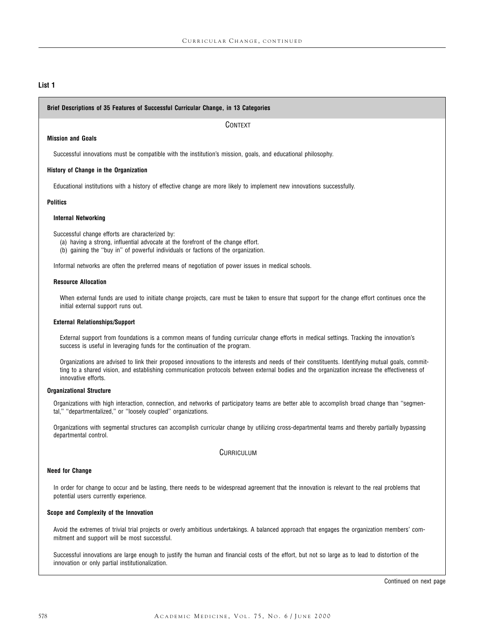# **List 1**

#### **Brief Descriptions of 35 Features of Successful Curricular Change, in 13 Categories**

**CONTEXT** 

#### **Mission and Goals**

Successful innovations must be compatible with the institution's mission, goals, and educational philosophy.

#### **History of Change in the Organization**

Educational institutions with a history of effective change are more likely to implement new innovations successfully.

#### **Politics**

## **Internal Networking**

Successful change efforts are characterized by:

- (a) having a strong, influential advocate at the forefront of the change effort.
- (b) gaining the ''buy in'' of powerful individuals or factions of the organization.

Informal networks are often the preferred means of negotiation of power issues in medical schools.

#### **Resource Allocation**

When external funds are used to initiate change projects, care must be taken to ensure that support for the change effort continues once the initial external support runs out.

#### **External Relationships/Support**

External support from foundations is a common means of funding curricular change efforts in medical settings. Tracking the innovation's success is useful in leveraging funds for the continuation of the program.

Organizations are advised to link their proposed innovations to the interests and needs of their constituents. Identifying mutual goals, committing to a shared vision, and establishing communication protocols between external bodies and the organization increase the effectiveness of innovative efforts.

#### **Organizational Structure**

Organizations with high interaction, connection, and networks of participatory teams are better able to accomplish broad change than ''segmental," "departmentalized," or "loosely coupled" organizations.

Organizations with segmental structures can accomplish curricular change by utilizing cross-departmental teams and thereby partially bypassing departmental control.

**CURRICULUM** 

## **Need for Change**

In order for change to occur and be lasting, there needs to be widespread agreement that the innovation is relevant to the real problems that potential users currently experience.

#### **Scope and Complexity of the Innovation**

Avoid the extremes of trivial trial projects or overly ambitious undertakings. A balanced approach that engages the organization members' commitment and support will be most successful.

Successful innovations are large enough to justify the human and financial costs of the effort, but not so large as to lead to distortion of the innovation or only partial institutionalization.

Continued on next page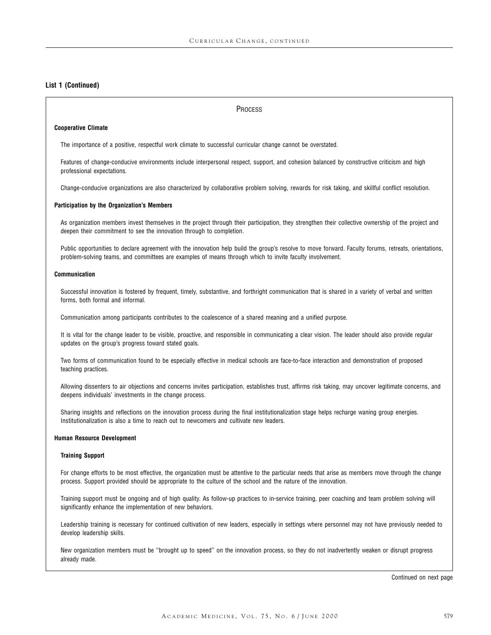# **List 1 (Continued)**

**PROCESS** 

#### **Cooperative Climate**

The importance of a positive, respectful work climate to successful curricular change cannot be overstated.

Features of change-conducive environments include interpersonal respect, support, and cohesion balanced by constructive criticism and high professional expectations.

Change-conducive organizations are also characterized by collaborative problem solving, rewards for risk taking, and skillful conflict resolution.

#### **Participation by the Organization's Members**

As organization members invest themselves in the project through their participation, they strengthen their collective ownership of the project and deepen their commitment to see the innovation through to completion.

Public opportunities to declare agreement with the innovation help build the group's resolve to move forward. Faculty forums, retreats, orientations, problem-solving teams, and committees are examples of means through which to invite faculty involvement.

#### **Communication**

Successful innovation is fostered by frequent, timely, substantive, and forthright communication that is shared in a variety of verbal and written forms, both formal and informal.

Communication among participants contributes to the coalescence of a shared meaning and a unified purpose.

It is vital for the change leader to be visible, proactive, and responsible in communicating a clear vision. The leader should also provide regular updates on the group's progress toward stated goals.

Two forms of communication found to be especially effective in medical schools are face-to-face interaction and demonstration of proposed teaching practices.

Allowing dissenters to air objections and concerns invites participation, establishes trust, affirms risk taking, may uncover legitimate concerns, and deepens individuals' investments in the change process.

Sharing insights and reflections on the innovation process during the final institutionalization stage helps recharge waning group energies. Institutionalization is also a time to reach out to newcomers and cultivate new leaders.

#### **Human Resource Development**

#### **Training Support**

For change efforts to be most effective, the organization must be attentive to the particular needs that arise as members move through the change process. Support provided should be appropriate to the culture of the school and the nature of the innovation.

Training support must be ongoing and of high quality. As follow-up practices to in-service training, peer coaching and team problem solving will significantly enhance the implementation of new behaviors.

Leadership training is necessary for continued cultivation of new leaders, especially in settings where personnel may not have previously needed to develop leadership skills.

New organization members must be ''brought up to speed'' on the innovation process, so they do not inadvertently weaken or disrupt progress already made.

Continued on next page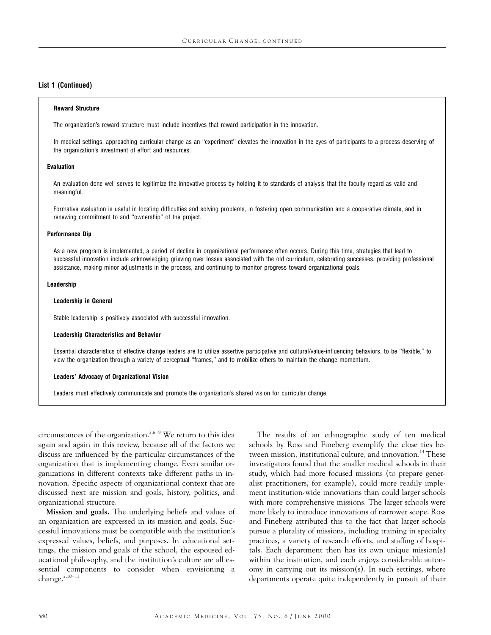# **List 1 (Continued)**

#### **Reward Structure**

The organization's reward structure must include incentives that reward participation in the innovation.

In medical settings, approaching curricular change as an "experiment" elevates the innovation in the eyes of participants to a process deserving of the organization's investment of effort and resources.

## **Evaluation**

An evaluation done well serves to legitimize the innovative process by holding it to standards of analysis that the faculty regard as valid and meaningful.

Formative evaluation is useful in locating difficulties and solving problems, in fostering open communication and a cooperative climate, and in renewing commitment to and ''ownership'' of the project.

#### **Performance Dip**

As a new program is implemented, a period of decline in organizational performance often occurs. During this time, strategies that lead to successful innovation include acknowledging grieving over losses associated with the old curriculum, celebrating successes, providing professional assistance, making minor adjustments in the process, and continuing to monitor progress toward organizational goals.

#### **Leadership**

## **Leadership in General**

Stable leadership is positively associated with successful innovation.

## **Leadership Characteristics and Behavior**

Essential characteristics of effective change leaders are to utilize assertive participative and cultural/value-influencing behaviors, to be ''flexible,'' to view the organization through a variety of perceptual ''frames,'' and to mobilize others to maintain the change momentum.

#### **Leaders' Advocacy of Organizational Vision**

Leaders must effectively communicate and promote the organization's shared vision for curricular change.

circumstances of the organization.<sup>2,6–9</sup> We return to this idea again and again in this review, because all of the factors we discuss are influenced by the particular circumstances of the organization that is implementing change. Even similar organizations in different contexts take different paths in innovation. Specific aspects of organizational context that are discussed next are mission and goals, history, politics, and organizational structure.

**Mission and goals.** The underlying beliefs and values of an organization are expressed in its mission and goals. Successful innovations must be compatible with the institution's expressed values, beliefs, and purposes. In educational settings, the mission and goals of the school, the espoused educational philosophy, and the institution's culture are all essential components to consider when envisioning a change. $2,10-13$ 

The results of an ethnographic study of ten medical schools by Ross and Fineberg exemplify the close ties between mission, institutional culture, and innovation.<sup>14</sup> These investigators found that the smaller medical schools in their study, which had more focused missions (to prepare generalist practitioners, for example), could more readily implement institution-wide innovations than could larger schools with more comprehensive missions. The larger schools were more likely to introduce innovations of narrower scope. Ross and Fineberg attributed this to the fact that larger schools pursue a plurality of missions, including training in specialty practices, a variety of research efforts, and staffing of hospitals. Each department then has its own unique mission(s) within the institution, and each enjoys considerable autonomy in carrying out its mission(s). In such settings, where departments operate quite independently in pursuit of their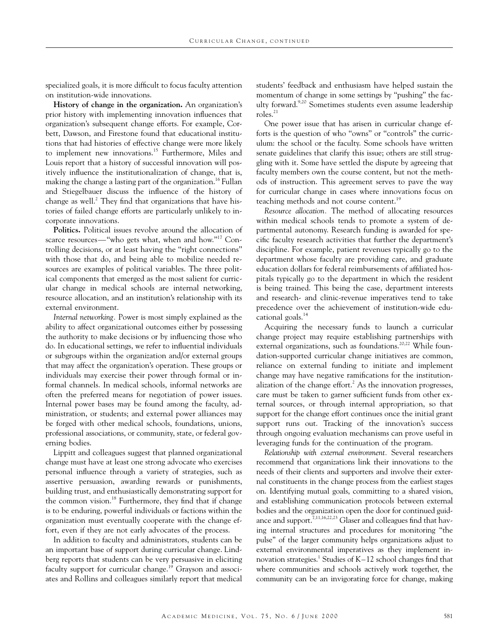specialized goals, it is more difficult to focus faculty attention on institution-wide innovations.

**History of change in the organization.** An organization's prior history with implementing innovation influences that organization's subsequent change efforts. For example, Corbett, Dawson, and Firestone found that educational institutions that had histories of effective change were more likely to implement new innovations.<sup>15</sup> Furthermore, Miles and Louis report that a history of successful innovation will positively influence the institutionalization of change, that is, making the change a lasting part of the organization.<sup>16</sup> Fullan and Stiegelbauer discuss the influence of the history of change as well.<sup>2</sup> They find that organizations that have histories of failed change efforts are particularly unlikely to incorporate innovations.

**Politics.** Political issues revolve around the allocation of scarce resources—"who gets what, when and how."<sup>17</sup> Controlling decisions, or at least having the ''right connections'' with those that do, and being able to mobilize needed resources are examples of political variables. The three political components that emerged as the most salient for curricular change in medical schools are internal networking, resource allocation, and an institution's relationship with its external environment.

*Internal networking.* Power is most simply explained as the ability to affect organizational outcomes either by possessing the authority to make decisions or by influencing those who do. In educational settings, we refer to influential individuals or subgroups within the organization and/or external groups that may affect the organization's operation. These groups or individuals may exercise their power through formal or informal channels. In medical schools, informal networks are often the preferred means for negotiation of power issues. Internal power bases may be found among the faculty, administration, or students; and external power alliances may be forged with other medical schools, foundations, unions, professional associations, or community, state, or federal governing bodies.

Lippitt and colleagues suggest that planned organizational change must have at least one strong advocate who exercises personal influence through a variety of strategies, such as assertive persuasion, awarding rewards or punishments, building trust, and enthusiastically demonstrating support for the common vision.<sup>18</sup> Furthermore, they find that if change is to be enduring, powerful individuals or factions within the organization must eventually cooperate with the change effort, even if they are not early advocates of the process.

In addition to faculty and administrators, students can be an important base of support during curricular change. Lindberg reports that students can be very persuasive in eliciting faculty support for curricular change.<sup>19</sup> Grayson and associates and Rollins and colleagues similarly report that medical

students' feedback and enthusiasm have helped sustain the momentum of change in some settings by "pushing" the faculty forward.<sup>9,20</sup> Sometimes students even assume leadership  $roles.<sup>21</sup>$ 

One power issue that has arisen in curricular change efforts is the question of who ''owns'' or ''controls'' the curriculum: the school or the faculty. Some schools have written senate guidelines that clarify this issue; others are still struggling with it. Some have settled the dispute by agreeing that faculty members own the course content, but not the methods of instruction. This agreement serves to pave the way for curricular change in cases where innovations focus on teaching methods and not course content.<sup>19</sup>

*Resource allocation.* The method of allocating resources within medical schools tends to promote a system of departmental autonomy. Research funding is awarded for specific faculty research activities that further the department's discipline. For example, patient revenues typically go to the department whose faculty are providing care, and graduate education dollars for federal reimbursements of affiliated hospitals typically go to the department in which the resident is being trained. This being the case, department interests and research- and clinic-revenue imperatives tend to take precedence over the achievement of institution-wide educational goals.<sup>14</sup>

Acquiring the necessary funds to launch a curricular change project may require establishing partnerships with external organizations, such as foundations.<sup>20,22</sup> While foundation-supported curricular change initiatives are common, reliance on external funding to initiate and implement change may have negative ramifications for the institutionalization of the change effort. $<sup>2</sup>$  As the innovation progresses,</sup> care must be taken to garner sufficient funds from other external sources, or through internal appropriation, so that support for the change effort continues once the initial grant support runs out. Tracking of the innovation's success through ongoing evaluation mechanisms can prove useful in leveraging funds for the continuation of the program.

*Relationship with external environment.* Several researchers recommend that organizations link their innovations to the needs of their clients and supporters and involve their external constituents in the change process from the earliest stages on. Identifying mutual goals, committing to a shared vision, and establishing communication protocols between external bodies and the organization open the door for continued guidance and support.<sup>7,11,16,22,23</sup> Glaser and colleagues find that having internal structures and procedures for monitoring ''the pulse'' of the larger community helps organizations adjust to external environmental imperatives as they implement innovation strategies.<sup>1</sup> Studies of  $K-12$  school changes find that where communities and schools actively work together, the community can be an invigorating force for change, making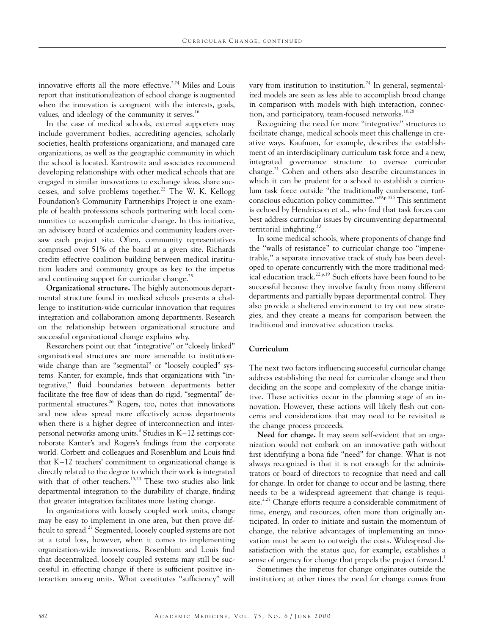innovative efforts all the more effective.<sup>2,24</sup> Miles and Louis report that institutionalization of school change is augmented when the innovation is congruent with the interests, goals, values, and ideology of the community it serves.<sup>16</sup>

In the case of medical schools, external supporters may include government bodies, accrediting agencies, scholarly societies, health professions organizations, and managed care organizations, as well as the geographic community in which the school is located. Kantrowitz and associates recommend developing relationships with other medical schools that are engaged in similar innovations to exchange ideas, share successes, and solve problems together.<sup>22</sup> The W. K. Kellogg Foundation's Community Partnerships Project is one example of health professions schools partnering with local communities to accomplish curricular change. In this initiative, an advisory board of academics and community leaders oversaw each project site. Often, community representatives comprised over 51% of the board at a given site. Richards credits effective coalition building between medical institution leaders and community groups as key to the impetus and continuing support for curricular change.<sup>25</sup>

**Organizational structure.** The highly autonomous departmental structure found in medical schools presents a challenge to institution-wide curricular innovation that requires integration and collaboration among departments. Research on the relationship between organizational structure and successful organizational change explains why.

Researchers point out that ''integrative'' or ''closely linked'' organizational structures are more amenable to institutionwide change than are "segmental" or "loosely coupled" systems. Kanter, for example, finds that organizations with ''integrative,'' fluid boundaries between departments better facilitate the free flow of ideas than do rigid, ''segmental'' departmental structures.<sup>26</sup> Rogers, too, notes that innovations and new ideas spread more effectively across departments when there is a higher degree of interconnection and interpersonal networks among units. $8$  Studies in K–12 settings corroborate Kanter's and Rogers's findings from the corporate world. Corbett and colleagues and Rosenblum and Louis find that K–12 teachers' commitment to organizational change is directly related to the degree to which their work is integrated with that of other teachers.<sup>15,24</sup> These two studies also link departmental integration to the durability of change, finding that greater integration facilitates more lasting change.

In organizations with loosely coupled work units, change may be easy to implement in one area, but then prove difficult to spread.<sup>27</sup> Segmented, loosely coupled systems are not at a total loss, however, when it comes to implementing organization-wide innovations. Rosenblum and Louis find that decentralized, loosely coupled systems may still be successful in effecting change if there is sufficient positive interaction among units. What constitutes ''sufficiency'' will

vary from institution to institution.<sup>24</sup> In general, segmentalized models are seen as less able to accomplish broad change in comparison with models with high interaction, connection, and participatory, team-focused networks.<sup>16,28</sup>

Recognizing the need for more ''integrative'' structures to facilitate change, medical schools meet this challenge in creative ways. Kaufman, for example, describes the establishment of an interdisciplinary curriculum task force and a new, integrated governance structure to oversee curricular change.21 Cohen and others also describe circumstances in which it can be prudent for a school to establish a curriculum task force outside ''the traditionally cumbersome, turfconscious education policy committee.''29,p.355 This sentiment is echoed by Hendricson et al., who find that task forces can best address curricular issues by circumventing departmental territorial infighting.30

In some medical schools, where proponents of change find the ''walls of resistance'' to curricular change too ''impenetrable,'' a separate innovative track of study has been developed to operate concurrently with the more traditional medical education track.<sup>22,p.19</sup> Such efforts have been found to be successful because they involve faculty from many different departments and partially bypass departmental control. They also provide a sheltered environment to try out new strategies, and they create a means for comparison between the traditional and innovative education tracks.

# **Curriculum**

The next two factors influencing successful curricular change address establishing the need for curricular change and then deciding on the scope and complexity of the change initiative. These activities occur in the planning stage of an innovation. However, these actions will likely flesh out concerns and considerations that may need to be revisited as the change process proceeds.

**Need for change.** It may seem self-evident that an organization would not embark on an innovative path without first identifying a bona fide ''need'' for change. What is not always recognized is that it is not enough for the administrators or board of directors to recognize that need and call for change. In order for change to occur and be lasting, there needs to be a widespread agreement that change is requisite.<sup>2,27</sup> Change efforts require a considerable commitment of time, energy, and resources, often more than originally anticipated. In order to initiate and sustain the momentum of change, the relative advantages of implementing an innovation must be seen to outweigh the costs. Widespread dissatisfaction with the status quo, for example, establishes a sense of urgency for change that propels the project forward.<sup>1</sup>

Sometimes the impetus for change originates outside the institution; at other times the need for change comes from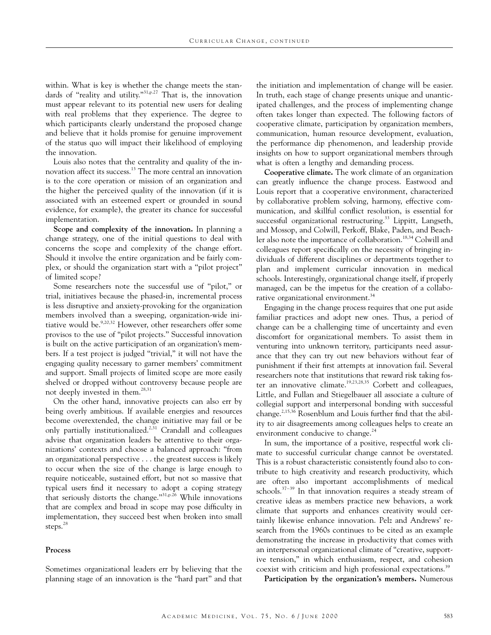within. What is key is whether the change meets the standards of "reality and utility."<sup>31,p.27</sup> That is, the innovation must appear relevant to its potential new users for dealing with real problems that they experience. The degree to which participants clearly understand the proposed change and believe that it holds promise for genuine improvement of the status quo will impact their likelihood of employing the innovation.

Louis also notes that the centrality and quality of the innovation affect its success.<sup>13</sup> The more central an innovation is to the core operation or mission of an organization and the higher the perceived quality of the innovation (if it is associated with an esteemed expert or grounded in sound evidence, for example), the greater its chance for successful implementation.

**Scope and complexity of the innovation.** In planning a change strategy, one of the initial questions to deal with concerns the scope and complexity of the change effort. Should it involve the entire organization and be fairly complex, or should the organization start with a ''pilot project'' of limited scope?

Some researchers note the successful use of ''pilot,'' or trial, initiatives because the phased-in, incremental process is less disruptive and anxiety-provoking for the organization members involved than a sweeping, organization-wide initiative would be. $9,20,32$  However, other researchers offer some provisos to the use of ''pilot projects.'' Successful innovation is built on the active participation of an organization's members. If a test project is judged ''trivial,'' it will not have the engaging quality necessary to garner members' commitment and support. Small projects of limited scope are more easily shelved or dropped without controversy because people are not deeply invested in them.<sup>28,31</sup>

On the other hand, innovative projects can also err by being overly ambitious. If available energies and resources become overextended, the change initiative may fail or be only partially institutionalized.<sup> $2,31$ </sup> Crandall and colleagues advise that organization leaders be attentive to their organizations' contexts and choose a balanced approach: ''from an organizational perspective . . . the greatest success is likely to occur when the size of the change is large enough to require noticeable, sustained effort, but not so massive that typical users find it necessary to adopt a coping strategy that seriously distorts the change."<sup>31,p.26</sup> While innovations that are complex and broad in scope may pose difficulty in implementation, they succeed best when broken into small steps.<sup>28</sup>

# **Process**

Sometimes organizational leaders err by believing that the planning stage of an innovation is the ''hard part'' and that the initiation and implementation of change will be easier. In truth, each stage of change presents unique and unanticipated challenges, and the process of implementing change often takes longer than expected. The following factors of cooperative climate, participation by organization members, communication, human resource development, evaluation, the performance dip phenomenon, and leadership provide insights on how to support organizational members through what is often a lengthy and demanding process.

**Cooperative climate.** The work climate of an organization can greatly influence the change process. Eastwood and Louis report that a cooperative environment, characterized by collaborative problem solving, harmony, effective communication, and skillful conflict resolution, is essential for successful organizational restructuring.<sup>33</sup> Lippitt, Langseth, and Mossop, and Colwill, Perkoff, Blake, Paden, and Beachler also note the importance of collaboration.<sup>18,34</sup> Colwill and colleagues report specifically on the necessity of bringing individuals of different disciplines or departments together to plan and implement curricular innovation in medical schools. Interestingly, organizational change itself, if properly managed, can be the impetus for the creation of a collaborative organizational environment.<sup>34</sup>

Engaging in the change process requires that one put aside familiar practices and adopt new ones. Thus, a period of change can be a challenging time of uncertainty and even discomfort for organizational members. To assist them in venturing into unknown territory, participants need assurance that they can try out new behaviors without fear of punishment if their first attempts at innovation fail. Several researchers note that institutions that reward risk taking foster an innovative climate.<sup>19,23,28,35</sup> Corbett and colleagues, Little, and Fullan and Stiegelbauer all associate a culture of collegial support and interpersonal bonding with successful change.<sup>2,15,36</sup> Rosenblum and Louis further find that the ability to air disagreements among colleagues helps to create an environment conducive to change.<sup>24</sup>

In sum, the importance of a positive, respectful work climate to successful curricular change cannot be overstated. This is a robust characteristic consistently found also to contribute to high creativity and research productivity, which are often also important accomplishments of medical schools. $37-39$  In that innovation requires a steady stream of creative ideas as members practice new behaviors, a work climate that supports and enhances creativity would certainly likewise enhance innovation. Pelz and Andrews' research from the 1960s continues to be cited as an example demonstrating the increase in productivity that comes with an interpersonal organizational climate of ''creative, supportive tension,'' in which enthusiasm, respect, and cohesion coexist with criticism and high professional expectations.<sup>39</sup>

**Participation by the organization's members.** Numerous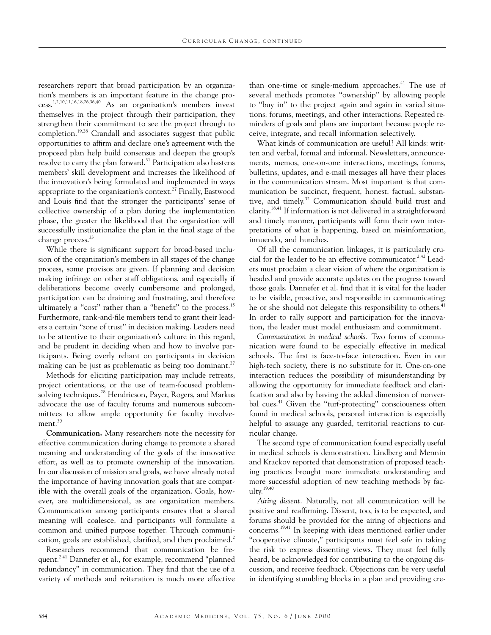researchers report that broad participation by an organization's members is an important feature in the change process.1,2,10,11,16,18,26,36,40 As an organization's members invest themselves in the project through their participation, they strengthen their commitment to see the project through to completion.19,28 Crandall and associates suggest that public opportunities to affirm and declare one's agreement with the proposed plan help build consensus and deepen the group's resolve to carry the plan forward.<sup>31</sup> Participation also hastens members' skill development and increases the likelihood of the innovation's being formulated and implemented in ways appropriate to the organization's context.<sup>27</sup> Finally, Eastwood and Louis find that the stronger the participants' sense of collective ownership of a plan during the implementation phase, the greater the likelihood that the organization will successfully institutionalize the plan in the final stage of the change process.<sup>33</sup>

While there is significant support for broad-based inclusion of the organization's members in all stages of the change process, some provisos are given. If planning and decision making infringe on other staff obligations, and especially if deliberations become overly cumbersome and prolonged, participation can be draining and frustrating, and therefore ultimately a "cost" rather than a "benefit" to the process.<sup>15</sup> Furthermore, rank-and-file members tend to grant their leaders a certain ''zone of trust'' in decision making. Leaders need to be attentive to their organization's culture in this regard, and be prudent in deciding when and how to involve participants. Being overly reliant on participants in decision making can be just as problematic as being too dominant.<sup>27</sup>

Methods for eliciting participation may include retreats, project orientations, or the use of team-focused problemsolving techniques.<sup>28</sup> Hendricson, Payer, Rogers, and Markus advocate the use of faculty forums and numerous subcommittees to allow ample opportunity for faculty involvement.<sup>30</sup>

**Communication.** Many researchers note the necessity for effective communication during change to promote a shared meaning and understanding of the goals of the innovative effort, as well as to promote ownership of the innovation. In our discussion of mission and goals, we have already noted the importance of having innovation goals that are compatible with the overall goals of the organization. Goals, however, are multidimensional, as are organization members. Communication among participants ensures that a shared meaning will coalesce, and participants will formulate a common and unified purpose together. Through communication, goals are established, clarified, and then proclaimed.<sup>2</sup>

Researchers recommend that communication be frequent.<sup>2,41</sup> Dannefer et al., for example, recommend "planned redundancy'' in communication. They find that the use of a variety of methods and reiteration is much more effective than one-time or single-medium approaches.<sup>41</sup> The use of several methods promotes ''ownership'' by allowing people to ''buy in'' to the project again and again in varied situations: forums, meetings, and other interactions. Repeated reminders of goals and plans are important because people receive, integrate, and recall information selectively.

What kinds of communication are useful? All kinds: written and verbal, formal and informal. Newsletters, announcements, memos, one-on-one interactions, meetings, forums, bulletins, updates, and e-mail messages all have their places in the communication stream. Most important is that communication be succinct, frequent, honest, factual, substantive, and timely.<sup>32</sup> Communication should build trust and clarity.18,41 If information is not delivered in a straightforward and timely manner, participants will form their own interpretations of what is happening, based on misinformation, innuendo, and hunches.

Of all the communication linkages, it is particularly crucial for the leader to be an effective communicator.<sup>2,42</sup> Leaders must proclaim a clear vision of where the organization is headed and provide accurate updates on the progress toward those goals. Dannefer et al. find that it is vital for the leader to be visible, proactive, and responsible in communicating; he or she should not delegate this responsibility to others.<sup>41</sup> In order to rally support and participation for the innovation, the leader must model enthusiasm and commitment.

*Communication in medical schools.* Two forms of communication were found to be especially effective in medical schools. The first is face-to-face interaction. Even in our high-tech society, there is no substitute for it. One-on-one interaction reduces the possibility of misunderstanding by allowing the opportunity for immediate feedback and clarification and also by having the added dimension of nonverbal cues.<sup>41</sup> Given the "turf-protecting" consciousness often found in medical schools, personal interaction is especially helpful to assuage any guarded, territorial reactions to curricular change.

The second type of communication found especially useful in medical schools is demonstration. Lindberg and Mennin and Krackov reported that demonstration of proposed teaching practices brought more immediate understanding and more successful adoption of new teaching methods by faculty.19,40

*Airing dissent.* Naturally, not all communication will be positive and reaffirming. Dissent, too, is to be expected, and forums should be provided for the airing of objections and concerns.19,41 In keeping with ideas mentioned earlier under ''cooperative climate,'' participants must feel safe in taking the risk to express dissenting views. They must feel fully heard, be acknowledged for contributing to the ongoing discussion, and receive feedback. Objections can be very useful in identifying stumbling blocks in a plan and providing cre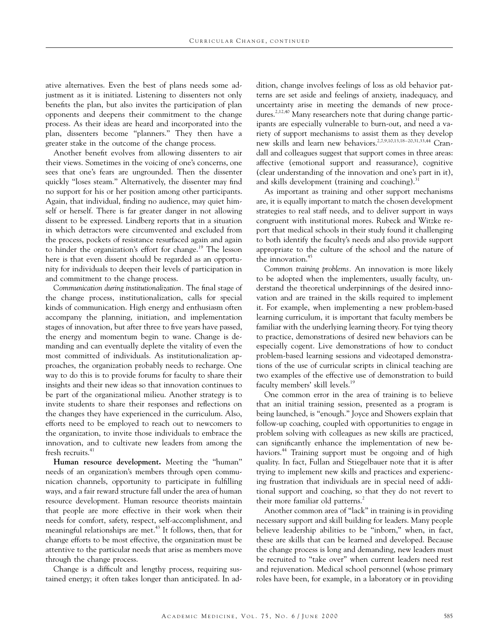ative alternatives. Even the best of plans needs some adjustment as it is initiated. Listening to dissenters not only benefits the plan, but also invites the participation of plan opponents and deepens their commitment to the change process. As their ideas are heard and incorporated into the plan, dissenters become ''planners.'' They then have a greater stake in the outcome of the change process.

Another benefit evolves from allowing dissenters to air their views. Sometimes in the voicing of one's concerns, one sees that one's fears are ungrounded. Then the dissenter quickly ''loses steam.'' Alternatively, the dissenter may find no support for his or her position among other participants. Again, that individual, finding no audience, may quiet himself or herself. There is far greater danger in not allowing dissent to be expressed. Lindberg reports that in a situation in which detractors were circumvented and excluded from the process, pockets of resistance resurfaced again and again to hinder the organization's effort for change.<sup>19</sup> The lesson here is that even dissent should be regarded as an opportunity for individuals to deepen their levels of participation in and commitment to the change process.

*Communication during institutionalization.* The final stage of the change process, institutionalization, calls for special kinds of communication. High energy and enthusiasm often accompany the planning, initiation, and implementation stages of innovation, but after three to five years have passed, the energy and momentum begin to wane. Change is demanding and can eventually deplete the vitality of even the most committed of individuals. As institutionalization approaches, the organization probably needs to recharge. One way to do this is to provide forums for faculty to share their insights and their new ideas so that innovation continues to be part of the organizational milieu. Another strategy is to invite students to share their responses and reflections on the changes they have experienced in the curriculum. Also, efforts need to be employed to reach out to newcomers to the organization, to invite those individuals to embrace the innovation, and to cultivate new leaders from among the fresh recruits.<sup>41</sup>

**Human resource development.** Meeting the ''human'' needs of an organization's members through open communication channels, opportunity to participate in fulfilling ways, and a fair reward structure fall under the area of human resource development. Human resource theorists maintain that people are more effective in their work when their needs for comfort, safety, respect, self-accomplishment, and meaningful relationships are met.<sup>43</sup> It follows, then, that for change efforts to be most effective, the organization must be attentive to the particular needs that arise as members move through the change process.

Change is a difficult and lengthy process, requiring sustained energy; it often takes longer than anticipated. In addition, change involves feelings of loss as old behavior patterns are set aside and feelings of anxiety, inadequacy, and uncertainty arise in meeting the demands of new procedures.<sup>2,12,40</sup> Many researchers note that during change participants are especially vulnerable to burn-out, and need a variety of support mechanisms to assist them as they develop new skills and learn new behaviors.2,7,9,10,13,18–20,31,33,44 Crandall and colleagues suggest that support comes in three areas: affective (emotional support and reassurance), cognitive (clear understanding of the innovation and one's part in it), and skills development (training and coaching). $31$ 

As important as training and other support mechanisms are, it is equally important to match the chosen development strategies to real staff needs, and to deliver support in ways congruent with institutional mores. Rubeck and Witzke report that medical schools in their study found it challenging to both identify the faculty's needs and also provide support appropriate to the culture of the school and the nature of the innovation.<sup>45</sup>

*Common training problems.* An innovation is more likely to be adopted when the implementers, usually faculty, understand the theoretical underpinnings of the desired innovation and are trained in the skills required to implement it. For example, when implementing a new problem-based learning curriculum, it is important that faculty members be familiar with the underlying learning theory. For tying theory to practice, demonstrations of desired new behaviors can be especially cogent. Live demonstrations of how to conduct problem-based learning sessions and videotaped demonstrations of the use of curricular scripts in clinical teaching are two examples of the effective use of demonstration to build faculty members' skill levels.19

One common error in the area of training is to believe that an initial training session, presented as a program is being launched, is ''enough.'' Joyce and Showers explain that follow-up coaching, coupled with opportunities to engage in problem solving with colleagues as new skills are practiced, can significantly enhance the implementation of new behaviors.<sup>44</sup> Training support must be ongoing and of high quality. In fact, Fullan and Stiegelbauer note that it is after trying to implement new skills and practices and experiencing frustration that individuals are in special need of additional support and coaching, so that they do not revert to their more familiar old patterns.<sup>2</sup>

Another common area of ''lack'' in training is in providing necessary support and skill building for leaders. Many people believe leadership abilities to be ''inborn,'' when, in fact, these are skills that can be learned and developed. Because the change process is long and demanding, new leaders must be recruited to "take over" when current leaders need rest and rejuvenation. Medical school personnel (whose primary roles have been, for example, in a laboratory or in providing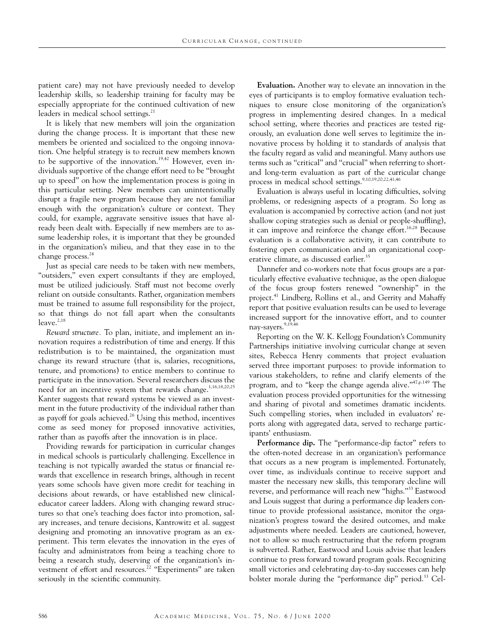patient care) may not have previously needed to develop leadership skills, so leadership training for faculty may be especially appropriate for the continued cultivation of new leaders in medical school settings.<sup>21</sup>

It is likely that new members will join the organization during the change process. It is important that these new members be oriented and socialized to the ongoing innovation. One helpful strategy is to recruit new members known to be supportive of the innovation.<sup>19,42</sup> However, even individuals supportive of the change effort need to be ''brought up to speed'' on how the implementation process is going in this particular setting. New members can unintentionally disrupt a fragile new program because they are not familiar enough with the organization's culture or context. They could, for example, aggravate sensitive issues that have already been dealt with. Especially if new members are to assume leadership roles, it is important that they be grounded in the organization's milieu, and that they ease in to the change process.<sup>24</sup>

Just as special care needs to be taken with new members, "outsiders," even expert consultants if they are employed, must be utilized judiciously. Staff must not become overly reliant on outside consultants. Rather, organization members must be trained to assume full responsibility for the project, so that things do not fall apart when the consultants  $leave.<sup>2,18</sup>$ 

*Reward structure.* To plan, initiate, and implement an innovation requires a redistribution of time and energy. If this redistribution is to be maintained, the organization must change its reward structure (that is, salaries, recognitions, tenure, and promotions) to entice members to continue to participate in the innovation. Several researchers discuss the need for an incentive system that rewards change.<sup>1,16,18,20,25</sup> Kanter suggests that reward systems be viewed as an investment in the future productivity of the individual rather than as payoff for goals achieved. $^{26}$  Using this method, incentives come as seed money for proposed innovative activities, rather than as payoffs after the innovation is in place.

Providing rewards for participation in curricular changes in medical schools is particularly challenging. Excellence in teaching is not typically awarded the status or financial rewards that excellence in research brings, although in recent years some schools have given more credit for teaching in decisions about rewards, or have established new clinicaleducator career ladders. Along with changing reward structures so that one's teaching does factor into promotion, salary increases, and tenure decisions, Kantrowitz et al. suggest designing and promoting an innovative program as an experiment. This term elevates the innovation in the eyes of faculty and administrators from being a teaching chore to being a research study, deserving of the organization's investment of effort and resources.<sup>22</sup> "Experiments" are taken seriously in the scientific community.

**Evaluation.** Another way to elevate an innovation in the eyes of participants is to employ formative evaluation techniques to ensure close monitoring of the organization's progress in implementing desired changes. In a medical school setting, where theories and practices are tested rigorously, an evaluation done well serves to legitimize the innovative process by holding it to standards of analysis that the faculty regard as valid and meaningful. Many authors use terms such as ''critical'' and ''crucial'' when referring to shortand long-term evaluation as part of the curricular change process in medical school settings.<sup>9,10,19,20,22,41,46</sup>

Evaluation is always useful in locating difficulties, solving problems, or redesigning aspects of a program. So long as evaluation is accompanied by corrective action (and not just shallow coping strategies such as denial or people-shuffling), it can improve and reinforce the change effort.<sup>16,28</sup> Because evaluation is a collaborative activity, it can contribute to fostering open communication and an organizational cooperative climate, as discussed earlier.<sup>35</sup>

Dannefer and co-workers note that focus groups are a particularly effective evaluative technique, as the open dialogue of the focus group fosters renewed ''ownership'' in the project.41 Lindberg, Rollins et al., and Gerrity and Mahaffy report that positive evaluation results can be used to leverage increased support for the innovative effort, and to counter nay-sayers.<sup>9,19,46</sup>

Reporting on the W. K. Kellogg Foundation's Community Partnerships initiative involving curricular change at seven sites, Rebecca Henry comments that project evaluation served three important purposes: to provide information to various stakeholders, to refine and clarify elements of the program, and to "keep the change agenda alive."<sup>47,p.149</sup> The evaluation process provided opportunities for the witnessing and sharing of pivotal and sometimes dramatic incidents. Such compelling stories, when included in evaluators' reports along with aggregated data, served to recharge participants' enthusiasm.

Performance dip. The "performance-dip factor" refers to the often-noted decrease in an organization's performance that occurs as a new program is implemented. Fortunately, over time, as individuals continue to receive support and master the necessary new skills, this temporary decline will reverse, and performance will reach new "highs."<sup>33</sup> Eastwood and Louis suggest that during a performance dip leaders continue to provide professional assistance, monitor the organization's progress toward the desired outcomes, and make adjustments where needed. Leaders are cautioned, however, not to allow so much restructuring that the reform program is subverted. Rather, Eastwood and Louis advise that leaders continue to press forward toward program goals. Recognizing small victories and celebrating day-to-day successes can help bolster morale during the "performance dip" period.<sup>33</sup> Cel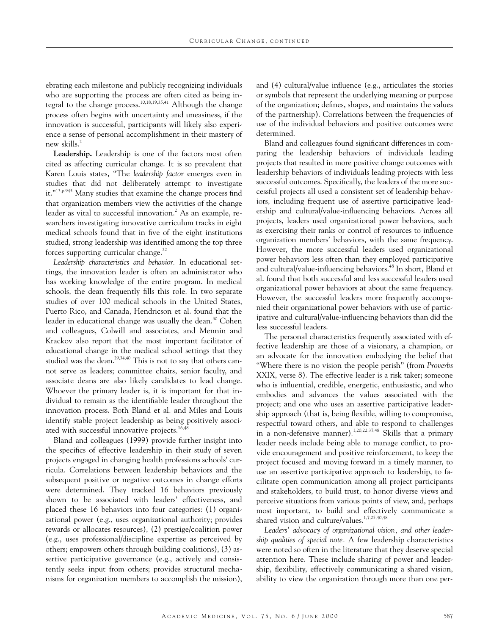ebrating each milestone and publicly recognizing individuals who are supporting the process are often cited as being integral to the change process.10,18,19,35,41 Although the change process often begins with uncertainty and uneasiness, if the innovation is successful, participants will likely also experience a sense of personal accomplishment in their mastery of new skills.<sup>2</sup>

**Leadership.** Leadership is one of the factors most often cited as affecting curricular change. It is so prevalent that Karen Louis states, ''The *leadership factor* emerges even in studies that did not deliberately attempt to investigate it."<sup>13,p.945</sup> Many studies that examine the change process find that organization members view the activities of the change leader as vital to successful innovation.<sup>2</sup> As an example, researchers investigating innovative curriculum tracks in eight medical schools found that in five of the eight institutions studied, strong leadership was identified among the top three forces supporting curricular change.<sup>22</sup>

*Leadership characteristics and behavior.* In educational settings, the innovation leader is often an administrator who has working knowledge of the entire program. In medical schools, the dean frequently fills this role. In two separate studies of over 100 medical schools in the United States, Puerto Rico, and Canada, Hendricson et al. found that the leader in educational change was usually the dean.<sup>30</sup> Cohen and colleagues, Colwill and associates, and Mennin and Krackov also report that the most important facilitator of educational change in the medical school settings that they studied was the dean.<sup>29,34,40</sup> This is not to say that others cannot serve as leaders; committee chairs, senior faculty, and associate deans are also likely candidates to lead change. Whoever the primary leader is, it is important for that individual to remain as the identifiable leader throughout the innovation process. Both Bland et al. and Miles and Louis identify stable project leadership as being positively associated with successful innovative projects.<sup>16,48</sup>

Bland and colleagues (1999) provide further insight into the specifics of effective leadership in their study of seven projects engaged in changing health professions schools' curricula. Correlations between leadership behaviors and the subsequent positive or negative outcomes in change efforts were determined. They tracked 16 behaviors previously shown to be associated with leaders' effectiveness, and placed these 16 behaviors into four categories: (1) organizational power (e.g., uses organizational authority; provides rewards or allocates resources), (2) prestige/coalition power (e.g., uses professional/discipline expertise as perceived by others; empowers others through building coalitions), (3) assertive participative governance (e.g., actively and consistently seeks input from others; provides structural mechanisms for organization members to accomplish the mission), and (4) cultural/value influence (e.g., articulates the stories or symbols that represent the underlying meaning or purpose of the organization; defines, shapes, and maintains the values of the partnership). Correlations between the frequencies of use of the individual behaviors and positive outcomes were determined.

Bland and colleagues found significant differences in comparing the leadership behaviors of individuals leading projects that resulted in more positive change outcomes with leadership behaviors of individuals leading projects with less successful outcomes. Specifically, the leaders of the more successful projects all used a consistent set of leadership behaviors, including frequent use of assertive participative leadership and cultural/value-influencing behaviors. Across all projects, leaders used organizational power behaviors, such as exercising their ranks or control of resources to influence organization members' behaviors, with the same frequency. However, the more successful leaders used organizational power behaviors less often than they employed participative and cultural/value-influencing behaviors.<sup>48</sup> In short, Bland et al. found that both successful and less successful leaders used organizational power behaviors at about the same frequency. However, the successful leaders more frequently accompanied their organizational power behaviors with use of participative and cultural/value-influencing behaviors than did the less successful leaders.

The personal characteristics frequently associated with effective leadership are those of a visionary, a champion, or an advocate for the innovation embodying the belief that ''Where there is no vision the people perish'' (from *Proverbs* XXIX, verse 8). The effective leader is a risk taker; someone who is influential, credible, energetic, enthusiastic, and who embodies and advances the values associated with the project; and one who uses an assertive participative leadership approach (that is, being flexible, willing to compromise, respectful toward others, and able to respond to challenges in a non-defensive manner).<sup>1,20,22,37,48</sup> Skills that a primary leader needs include being able to manage conflict, to provide encouragement and positive reinforcement, to keep the project focused and moving forward in a timely manner, to use an assertive participative approach to leadership, to facilitate open communication among all project participants and stakeholders, to build trust, to honor diverse views and perceive situations from various points of view, and, perhaps most important, to build and effectively communicate a shared vision and culture/values.<sup>1,7,25,40,48</sup>

*Leaders' advocacy of organizational vision, and other leadership qualities of special note.* A few leadership characteristics were noted so often in the literature that they deserve special attention here. These include sharing of power and leadership, flexibility, effectively communicating a shared vision, ability to view the organization through more than one per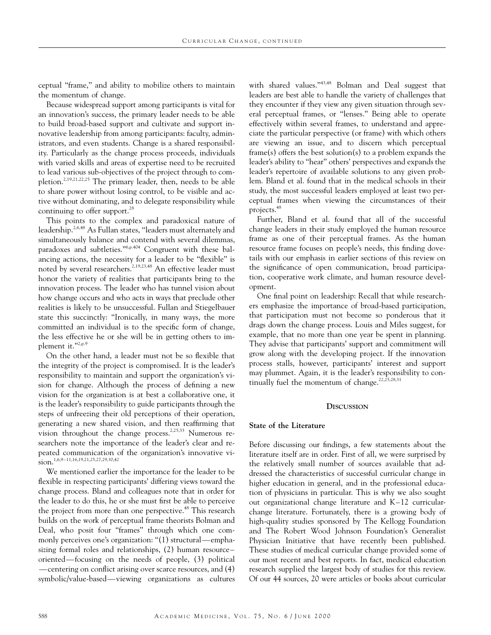ceptual ''frame,'' and ability to mobilize others to maintain the momentum of change.

Because widespread support among participants is vital for an innovation's success, the primary leader needs to be able to build broad-based support and cultivate and support innovative leadership from among participants: faculty, administrators, and even students. Change is a shared responsibility. Particularly as the change process proceeds, individuals with varied skills and areas of expertise need to be recruited to lead various sub-objectives of the project through to completion.2,19,21,22,25 The primary leader, then, needs to be able to share power without losing control, to be visible and active without dominating, and to delegate responsibility while continuing to offer support.<sup>28</sup>

This points to the complex and paradoxical nature of leadership.2,6,48 As Fullan states, ''leaders must alternately and simultaneously balance and contend with several dilemmas, paradoxes and subtleties."<sup>6,p.404</sup> Congruent with these balancing actions, the necessity for a leader to be ''flexible'' is noted by several researchers.<sup>2,19,23,48</sup> An effective leader must honor the variety of realities that participants bring to the innovation process. The leader who has tunnel vision about how change occurs and who acts in ways that preclude other realities is likely to be unsuccessful. Fullan and Stiegelbauer state this succinctly: ''Ironically, in many ways, the more committed an individual is to the specific form of change, the less effective he or she will be in getting others to implement it."<sup>2,p.9</sup>

On the other hand, a leader must not be so flexible that the integrity of the project is compromised. It is the leader's responsibility to maintain and support the organization's vision for change. Although the process of defining a new vision for the organization is at best a collaborative one, it is the leader's responsibility to guide participants through the steps of unfreezing their old perceptions of their operation, generating a new shared vision, and then reaffirming that vision throughout the change process.<sup>2,25,33</sup> Numerous researchers note the importance of the leader's clear and repeated communication of the organization's innovative vi- $\sin^{1,6,9-11,16,19,21,25,27,29,30,42}_{\text{sol}}$ 

We mentioned earlier the importance for the leader to be flexible in respecting participants' differing views toward the change process. Bland and colleagues note that in order for the leader to do this, he or she must first be able to perceive the project from more than one perspective.<sup>48</sup> This research builds on the work of perceptual frame theorists Bolman and Deal, who posit four "frames" through which one commonly perceives one's organization: "(1) structural—emphasizing formal roles and relationships, (2) human resource– oriented—focusing on the needs of people, (3) political —centering on conflict arising over scarce resources, and (4) symbolic/value-based—viewing organizations as cultures with shared values.''43,48 Bolman and Deal suggest that leaders are best able to handle the variety of challenges that they encounter if they view any given situation through several perceptual frames, or ''lenses.'' Being able to operate effectively within several frames, to understand and appreciate the particular perspective (or frame) with which others are viewing an issue, and to discern which perceptual frame(s) offers the best solution(s) to a problem expands the leader's ability to ''hear'' others' perspectives and expands the leader's repertoire of available solutions to any given problem. Bland et al. found that in the medical schools in their study, the most successful leaders employed at least two perceptual frames when viewing the circumstances of their projects.48

Further, Bland et al. found that all of the successful change leaders in their study employed the human resource frame as one of their perceptual frames. As the human resource frame focuses on people's needs, this finding dovetails with our emphasis in earlier sections of this review on the significance of open communication, broad participation, cooperative work climate, and human resource development.

One final point on leadership: Recall that while researchers emphasize the importance of broad-based participation, that participation must not become so ponderous that it drags down the change process. Louis and Miles suggest, for example, that no more than one year be spent in planning. They advise that participants' support and commitment will grow along with the developing project. If the innovation process stalls, however, participants' interest and support may plummet. Again, it is the leader's responsibility to continually fuel the momentum of change.<sup>22,25,28,31</sup>

## **DISCUSSION**

# **State of the Literature**

Before discussing our findings, a few statements about the literature itself are in order. First of all, we were surprised by the relatively small number of sources available that addressed the characteristics of successful curricular change in higher education in general, and in the professional education of physicians in particular. This is why we also sought out organizational change literature and K–12 curricularchange literature. Fortunately, there is a growing body of high-quality studies sponsored by The Kellogg Foundation and The Robert Wood Johnson Foundation's Generalist Physician Initiative that have recently been published. These studies of medical curricular change provided some of our most recent and best reports. In fact, medical education research supplied the largest body of studies for this review. Of our 44 sources, 20 were articles or books about curricular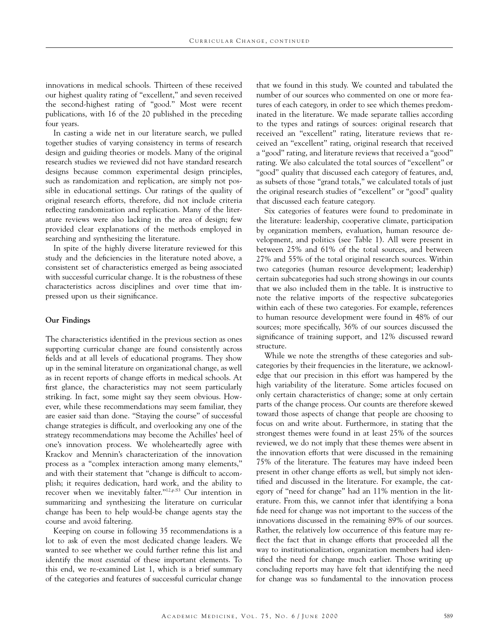innovations in medical schools. Thirteen of these received our highest quality rating of ''excellent,'' and seven received the second-highest rating of ''good.'' Most were recent publications, with 16 of the 20 published in the preceding four years.

In casting a wide net in our literature search, we pulled together studies of varying consistency in terms of research design and guiding theories or models. Many of the original research studies we reviewed did not have standard research designs because common experimental design principles, such as randomization and replication, are simply not possible in educational settings. Our ratings of the quality of original research efforts, therefore, did not include criteria reflecting randomization and replication. Many of the literature reviews were also lacking in the area of design; few provided clear explanations of the methods employed in searching and synthesizing the literature.

In spite of the highly diverse literature reviewed for this study and the deficiencies in the literature noted above, a consistent set of characteristics emerged as being associated with successful curricular change. It is the robustness of these characteristics across disciplines and over time that impressed upon us their significance.

## **Our Findings**

The characteristics identified in the previous section as ones supporting curricular change are found consistently across fields and at all levels of educational programs. They show up in the seminal literature on organizational change, as well as in recent reports of change efforts in medical schools. At first glance, the characteristics may not seem particularly striking. In fact, some might say they seem obvious. However, while these recommendations may seem familiar, they are easier said than done. ''Staying the course'' of successful change strategies is difficult, and overlooking any one of the strategy recommendations may become the Achilles' heel of one's innovation process. We wholeheartedly agree with Krackov and Mennin's characterization of the innovation process as a ''complex interaction among many elements,'' and with their statement that ''change is difficult to accomplish; it requires dedication, hard work, and the ability to recover when we inevitably falter."<sup>12,p.S3</sup> Our intention in summarizing and synthesizing the literature on curricular change has been to help would-be change agents stay the course and avoid faltering.

Keeping on course in following 35 recommendations is a lot to ask of even the most dedicated change leaders. We wanted to see whether we could further refine this list and identify the *most essential* of these important elements. To this end, we re-examined List 1, which is a brief summary of the categories and features of successful curricular change that we found in this study. We counted and tabulated the number of our sources who commented on one or more features of each category, in order to see which themes predominated in the literature. We made separate tallies according to the types and ratings of sources: original research that received an ''excellent'' rating, literature reviews that received an ''excellent'' rating, original research that received a ''good'' rating, and literature reviews that received a ''good'' rating. We also calculated the total sources of ''excellent'' or "good" quality that discussed each category of features, and, as subsets of those ''grand totals,'' we calculated totals of just the original research studies of "excellent" or "good" quality that discussed each feature category.

Six categories of features were found to predominate in the literature: leadership, cooperative climate, participation by organization members, evaluation, human resource development, and politics (see Table 1). All were present in between 25% and 61% of the total sources, and between 27% and 55% of the total original research sources. Within two categories (human resource development; leadership) certain subcategories had such strong showings in our counts that we also included them in the table. It is instructive to note the relative imports of the respective subcategories within each of these two categories. For example, references to human resource development were found in 48% of our sources; more specifically, 36% of our sources discussed the significance of training support, and 12% discussed reward structure.

While we note the strengths of these categories and subcategories by their frequencies in the literature, we acknowledge that our precision in this effort was hampered by the high variability of the literature. Some articles focused on only certain characteristics of change; some at only certain parts of the change process. Our counts are therefore skewed toward those aspects of change that people are choosing to focus on and write about. Furthermore, in stating that the strongest themes were found in at least 25% of the sources reviewed, we do not imply that these themes were absent in the innovation efforts that were discussed in the remaining 75% of the literature. The features may have indeed been present in other change efforts as well, but simply not identified and discussed in the literature. For example, the category of ''need for change'' had an 11% mention in the literature. From this, we cannot infer that identifying a bona fide need for change was not important to the success of the innovations discussed in the remaining 89% of our sources. Rather, the relatively low occurrence of this feature may reflect the fact that in change efforts that proceeded all the way to institutionalization, organization members had identified the need for change much earlier. Those writing up concluding reports may have felt that identifying the need for change was so fundamental to the innovation process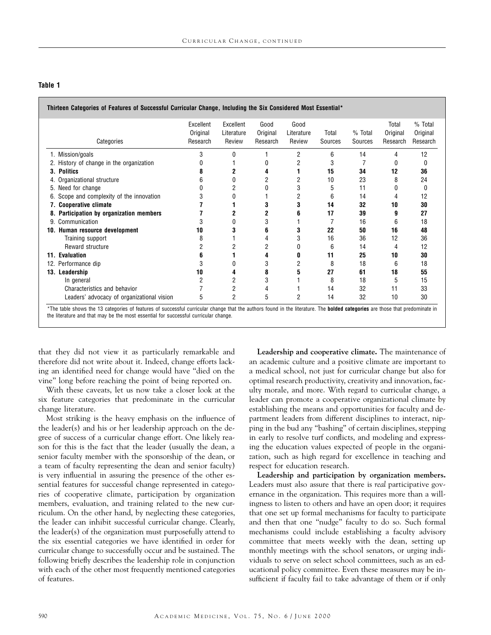# **Table 1**

| Categories                                   | Excellent<br>Original<br>Research | Excellent<br>Literature<br>Review | Good<br>Original<br>Research | Good<br>Literature<br>Review | Total<br>Sources | % Total<br>Sources | Total<br>Original<br>Research | % Total<br>Original<br>Research |
|----------------------------------------------|-----------------------------------|-----------------------------------|------------------------------|------------------------------|------------------|--------------------|-------------------------------|---------------------------------|
| Mission/goals                                |                                   |                                   |                              |                              | 6                | 14                 |                               | 12                              |
| History of change in the organization        |                                   |                                   |                              |                              | 3                |                    |                               |                                 |
| <b>Politics</b><br>3.                        |                                   |                                   |                              |                              | 15               | 34                 | 12                            | 36                              |
| Organizational structure                     |                                   |                                   |                              |                              | 10               | 23                 |                               | 24                              |
| 5. Need for change                           |                                   |                                   |                              |                              |                  | 11                 |                               |                                 |
| Scope and complexity of the innovation<br>6. |                                   |                                   |                              |                              | հ                | 14                 |                               | 12                              |
| 7. Cooperative climate                       |                                   |                                   |                              |                              | 14               | 32                 | 10                            | 30                              |
| 8. Participation by organization members     |                                   |                                   |                              |                              | 17               | 39                 |                               | 27                              |
| Communication<br>9.                          |                                   |                                   |                              |                              |                  | 16                 | 6                             | 18                              |
| Human resource development<br>10.            |                                   |                                   |                              |                              | 22               | 50                 | 16                            | 48                              |
| Training support                             |                                   |                                   |                              |                              | 16               | 36                 | 12                            | 36                              |
| Reward structure                             |                                   |                                   |                              |                              | 6                | 14                 |                               | 12                              |
| 11. Evaluation                               |                                   |                                   |                              |                              | 11               | 25                 | 10                            | 30                              |
| Performance dip                              |                                   |                                   |                              |                              | 8                | 18                 | 6                             | 18                              |
| 13. Leadership                               | 10                                |                                   |                              |                              | 27               | 61                 | 18                            | 55                              |
| In general                                   |                                   |                                   |                              |                              | 8                | 18                 |                               | 15                              |
| Characteristics and behavior                 |                                   |                                   |                              |                              | 14               | 32                 | 11                            | 33                              |
| Leaders' advocacy of organizational vision   |                                   | 2                                 | 5                            |                              | 14               | 32                 | 10                            | 30                              |

\*The table shows the 13 categories of features of successful curricular change that the authors found in the literature. The **bolded categories** are those that predominate in the literature and that may be the most essential for successful curricular change.

that they did not view it as particularly remarkable and therefore did not write about it. Indeed, change efforts lacking an identified need for change would have ''died on the vine'' long before reaching the point of being reported on.

With these caveats, let us now take a closer look at the six feature categories that predominate in the curricular change literature.

Most striking is the heavy emphasis on the influence of the leader(s) and his or her leadership approach on the degree of success of a curricular change effort. One likely reason for this is the fact that the leader (usually the dean, a senior faculty member with the sponsorship of the dean, or a team of faculty representing the dean and senior faculty) is very influential in assuring the presence of the other essential features for successful change represented in categories of cooperative climate, participation by organization members, evaluation, and training related to the new curriculum. On the other hand, by neglecting these categories, the leader can inhibit successful curricular change. Clearly, the leader(s) of the organization must purposefully attend to the six essential categories we have identified in order for curricular change to successfully occur and be sustained. The following briefly describes the leadership role in conjunction with each of the other most frequently mentioned categories of features.

**Leadership and cooperative climate.** The maintenance of an academic culture and a positive climate are important to a medical school, not just for curricular change but also for optimal research productivity, creativity and innovation, faculty morale, and more. With regard to curricular change, a leader can promote a cooperative organizational climate by establishing the means and opportunities for faculty and department leaders from different disciplines to interact, nipping in the bud any ''bashing'' of certain disciplines, stepping in early to resolve turf conflicts, and modeling and expressing the education values expected of people in the organization, such as high regard for excellence in teaching and respect for education research.

**Leadership and participation by organization members.** Leaders must also assure that there is *real* participative governance in the organization. This requires more than a willingness to listen to others and have an open door; it requires that one set up formal mechanisms for faculty to participate and then that one ''nudge'' faculty to do so. Such formal mechanisms could include establishing a faculty advisory committee that meets weekly with the dean, setting up monthly meetings with the school senators, or urging individuals to serve on select school committees, such as an educational policy committee. Even these measures may be insufficient if faculty fail to take advantage of them or if only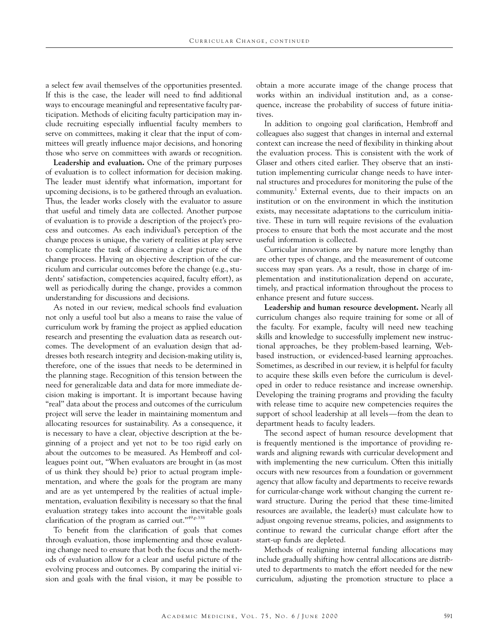a select few avail themselves of the opportunities presented. If this is the case, the leader will need to find additional ways to encourage meaningful and representative faculty participation. Methods of eliciting faculty participation may include recruiting especially influential faculty members to serve on committees, making it clear that the input of committees will greatly influence major decisions, and honoring those who serve on committees with awards or recognition.

**Leadership and evaluation.** One of the primary purposes of evaluation is to collect information for decision making. The leader must identify what information, important for upcoming decisions, is to be gathered through an evaluation. Thus, the leader works closely with the evaluator to assure that useful and timely data are collected. Another purpose of evaluation is to provide a description of the project's process and outcomes. As each individual's perception of the change process is unique, the variety of realities at play serve to complicate the task of discerning a clear picture of the change process. Having an objective description of the curriculum and curricular outcomes before the change (e.g., students' satisfaction, competencies acquired, faculty effort), as well as periodically during the change, provides a common understanding for discussions and decisions.

As noted in our review, medical schools find evaluation not only a useful tool but also a means to raise the value of curriculum work by framing the project as applied education research and presenting the evaluation data as research outcomes. The development of an evaluation design that addresses both research integrity and decision-making utility is, therefore, one of the issues that needs to be determined in the planning stage. Recognition of this tension between the need for generalizable data and data for more immediate decision making is important. It is important because having ''real'' data about the process and outcomes of the curriculum project will serve the leader in maintaining momentum and allocating resources for sustainability. As a consequence, it is necessary to have a clear, objective description at the beginning of a project and yet not to be too rigid early on about the outcomes to be measured. As Hembroff and colleagues point out, ''When evaluators are brought in (as most of us think they should be) prior to actual program implementation, and where the goals for the program are many and are as yet untempered by the realities of actual implementation, evaluation flexibility is necessary so that the final evaluation strategy takes into account the inevitable goals clarification of the program as carried out."<sup>49,p.338</sup>

To benefit from the clarification of goals that comes through evaluation, those implementing and those evaluating change need to ensure that both the focus and the methods of evaluation allow for a clear and useful picture of the evolving process and outcomes. By comparing the initial vision and goals with the final vision, it may be possible to obtain a more accurate image of the change process that works within an individual institution and, as a consequence, increase the probability of success of future initiatives.

In addition to ongoing goal clarification, Hembroff and colleagues also suggest that changes in internal and external context can increase the need of flexibility in thinking about the evaluation process. This is consistent with the work of Glaser and others cited earlier. They observe that an institution implementing curricular change needs to have internal structures and procedures for monitoring the pulse of the community.<sup>1</sup> External events, due to their impacts on an institution or on the environment in which the institution exists, may necessitate adaptations to the curriculum initiative. These in turn will require revisions of the evaluation process to ensure that both the most accurate and the most useful information is collected.

Curricular innovations are by nature more lengthy than are other types of change, and the measurement of outcome success may span years. As a result, those in charge of implementation and institutionalization depend on accurate, timely, and practical information throughout the process to enhance present and future success.

**Leadership and human resource development.** Nearly all curriculum changes also require training for some or all of the faculty. For example, faculty will need new teaching skills and knowledge to successfully implement new instructional approaches, be they problem-based learning, Webbased instruction, or evidenced-based learning approaches. Sometimes, as described in our review, it is helpful for faculty to acquire these skills even before the curriculum is developed in order to reduce resistance and increase ownership. Developing the training programs and providing the faculty with release time to acquire new competencies requires the support of school leadership at all levels—from the dean to department heads to faculty leaders.

The second aspect of human resource development that is frequently mentioned is the importance of providing rewards and aligning rewards with curricular development and with implementing the new curriculum. Often this initially occurs with new resources from a foundation or government agency that allow faculty and departments to receive rewards for curricular-change work without changing the current reward structure. During the period that these time-limited resources are available, the leader(s) must calculate how to adjust ongoing revenue streams, policies, and assignments to continue to reward the curricular change effort after the start-up funds are depleted.

Methods of realigning internal funding allocations may include gradually shifting how central allocations are distributed to departments to match the effort needed for the new curriculum, adjusting the promotion structure to place a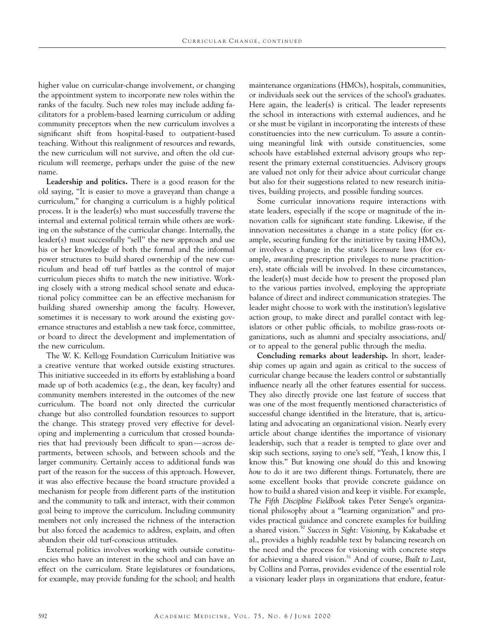higher value on curricular-change involvement, or changing the appointment system to incorporate new roles within the ranks of the faculty. Such new roles may include adding facilitators for a problem-based learning curriculum or adding community preceptors when the new curriculum involves a significant shift from hospital-based to outpatient-based teaching. Without this realignment of resources and rewards, the new curriculum will not survive, and often the old curriculum will reemerge, perhaps under the guise of the new name.

**Leadership and politics.** There is a good reason for the old saying, ''It is easier to move a graveyard than change a curriculum,'' for changing a curriculum is a highly political process. It is the leader(s) who must successfully traverse the internal and external political terrain while others are working on the substance of the curricular change. Internally, the leader(s) must successfully "sell" the new approach and use his or her knowledge of both the formal and the informal power structures to build shared ownership of the new curriculum and head off turf battles as the control of major curriculum pieces shifts to match the new initiative. Working closely with a strong medical school senate and educational policy committee can be an effective mechanism for building shared ownership among the faculty. However, sometimes it is necessary to work around the existing governance structures and establish a new task force, committee, or board to direct the development and implementation of the new curriculum.

The W. K. Kellogg Foundation Curriculum Initiative was a creative venture that worked outside existing structures. This initiative succeeded in its efforts by establishing a board made up of both academics (e.g., the dean, key faculty) and community members interested in the outcomes of the new curriculum. The board not only directed the curricular change but also controlled foundation resources to support the change. This strategy proved very effective for developing and implementing a curriculum that crossed boundaries that had previously been difficult to span—across departments, between schools, and between schools and the larger community. Certainly access to additional funds was part of the reason for the success of this approach. However, it was also effective because the board structure provided a mechanism for people from different parts of the institution and the community to talk and interact, with their common goal being to improve the curriculum. Including community members not only increased the richness of the interaction but also forced the academics to address, explain, and often abandon their old turf-conscious attitudes.

External politics involves working with outside constituencies who have an interest in the school and can have an effect on the curriculum. State legislatures or foundations, for example, may provide funding for the school; and health maintenance organizations (HMOs), hospitals, communities, or individuals seek out the services of the school's graduates. Here again, the leader(s) is critical. The leader represents the school in interactions with external audiences, and he or she must be vigilant in incorporating the interests of these constituencies into the new curriculum. To assure a continuing meaningful link with outside constituencies, some schools have established external advisory groups who represent the primary external constituencies. Advisory groups are valued not only for their advice about curricular change but also for their suggestions related to new research initiatives, building projects, and possible funding sources.

Some curricular innovations require interactions with state leaders, especially if the scope or magnitude of the innovation calls for significant state funding. Likewise, if the innovation necessitates a change in a state policy (for example, securing funding for the initiative by taxing HMOs), or involves a change in the state's licensure laws (for example, awarding prescription privileges to nurse practitioners), state officials will be involved. In these circumstances, the leader(s) must decide how to present the proposed plan to the various parties involved, employing the appropriate balance of direct and indirect communication strategies. The leader might choose to work with the institution's legislative action group, to make direct and parallel contact with legislators or other public officials, to mobilize grass-roots organizations, such as alumni and specialty associations, and/ or to appeal to the general public through the media.

**Concluding remarks about leadership.** In short, leadership comes up again and again as critical to the success of curricular change because the leaders control or substantially influence nearly all the other features essential for success. They also directly provide one last feature of success that was one of the most frequently mentioned characteristics of successful change identified in the literature, that is, articulating and advocating an organizational vision. Nearly every article about change identifies the importance of visionary leadership, such that a reader is tempted to glaze over and skip such sections, saying to one's self, ''Yeah, I know this, I know this.'' But knowing one *should* do this and knowing *how* to do it are two different things. Fortunately, there are some excellent books that provide concrete guidance on how to build a shared vision and keep it visible. For example, *The Fifth Discipline Fieldbook* takes Peter Senge's organizational philosophy about a ''learning organization'' and provides practical guidance and concrete examples for building a shared vision.50 *Success in Sight: Visioning*, by Kakabadse et al., provides a highly readable text by balancing research on the need and the process for visioning with concrete steps for achieving a shared vision.51 And of course, *Built to Last*, by Collins and Porras, provides evidence of the essential role a visionary leader plays in organizations that endure, featur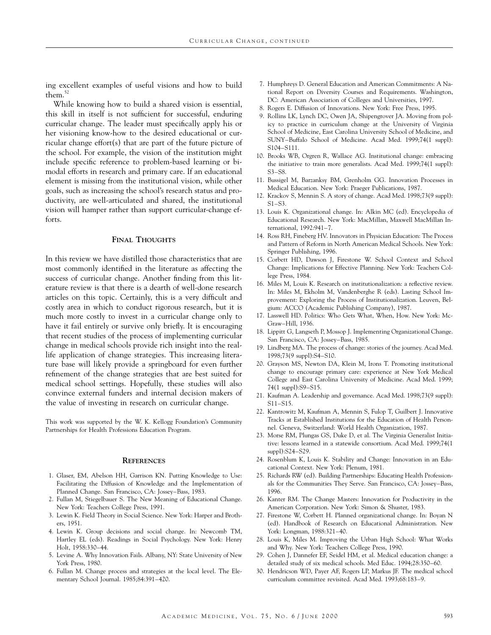ing excellent examples of useful visions and how to build them. $52$ 

While knowing how to build a shared vision is essential, this skill in itself is not sufficient for successful, enduring curricular change. The leader must specifically apply his or her visioning know-how to the desired educational or curricular change effort(s) that are part of the future picture of the school. For example, the vision of the institution might include specific reference to problem-based learning or bimodal efforts in research and primary care. If an educational element is missing from the institutional vision, while other goals, such as increasing the school's research status and productivity, are well-articulated and shared, the institutional vision will hamper rather than support curricular-change efforts.

## **FINAL THOUGHTS**

In this review we have distilled those characteristics that are most commonly identified in the literature as affecting the success of curricular change. Another finding from this literature review is that there is a dearth of well-done research articles on this topic. Certainly, this is a very difficult and costly area in which to conduct rigorous research, but it is much more costly to invest in a curricular change only to have it fail entirely or survive only briefly. It is encouraging that recent studies of the process of implementing curricular change in medical schools provide rich insight into the reallife application of change strategies. This increasing literature base will likely provide a springboard for even further refinement of the change strategies that are best suited for medical school settings. Hopefully, these studies will also convince external funders and internal decision makers of the value of investing in research on curricular change.

This work was supported by the W. K. Kellogg Foundation's Community Partnerships for Health Professions Education Program.

#### **REFERENCES**

- 1. Glaser, EM, Abelson HH, Garrison KN. Putting Knowledge to Use: Facilitating the Diffusion of Knowledge and the Implementation of Planned Change. San Francisco, CA: Jossey–Bass, 1983.
- 2. Fullan M, Stiegelbauer S. The New Meaning of Educational Change. New York: Teachers College Press, 1991.
- 3. Lewin K. Field Theory in Social Science. New York: Harper and Brothers, 1951.
- 4. Lewin K. Group decisions and social change. In: Newcomb TM, Hartley EL (eds). Readings in Social Psychology. New York: Henry Holt, 1958:330–44.
- 5. Levine A. Why Innovation Fails. Albany, NY: State University of New York Press, 1980.
- 6. Fullan M. Change process and strategies at the local level. The Elementary School Journal. 1985;84:391–420.
- 7. Humphreys D. General Education and American Commitments: A National Report on Diversity Courses and Requirements. Washington, DC: American Association of Colleges and Universities, 1997.
- 8. Rogers E. Diffusion of Innovations. New York: Free Press, 1995.
- 9. Rollins LK, Lynch DC, Owen JA, Shipengrover JA. Moving from policy to practice in curriculum change at the University of Virginia School of Medicine, East Carolina University School of Medicine, and SUNY–Buffalo School of Medicine. Acad Med. 1999;74(1 suppl): S104–S111.
- 10. Brooks WB, Orgren R, Wallace AG. Institutional change: embracing the initiative to train more generalists. Acad Med. 1999;74(1 suppl): S3–S8.
- 11. Bussigel M, Barzanksy BM, Grenholm GG. Innovation Processes in Medical Education. New York: Praeger Publications, 1987.
- 12. Krackov S, Mennin S. A story of change. Acad Med. 1998;73(9 suppl): S1–S3.
- 13. Louis K. Organizational change. In: Alkin MC (ed). Encyclopedia of Educational Research. New York: MacMillan, Maxwell MacMillan International, 1992:941–7.
- 14. Ross RH, Fineberg HV. Innovators in Physician Education: The Process and Pattern of Reform in North American Medical Schools. New York: Springer Publishing, 1996.
- 15. Corbett HD, Dawson J, Firestone W. School Context and School Change: Implications for Effective Planning. New York: Teachers College Press, 1984.
- 16. Miles M, Louis K. Research on institutionalization: a reflective review. In: Miles M, Ekholm M, Vandenberghe R (eds). Lasting School Improvement: Exploring the Process of Institutionalization. Leuven, Belgium: ACCO (Academic Publishing Company), 1987.
- 17. Lasswell HD. Politics: Who Gets What, When, How. New York: Mc-Graw–Hill, 1936.
- 18. Lippitt G, Langseth P, Mossop J. Implementing Organizational Change. San Francisco, CA: Jossey–Bass, 1985.
- 19. Lindberg MA. The process of change: stories of the journey. Acad Med. 1998;73(9 suppl):S4–S10.
- 20. Grayson MS, Newton DA, Klein M, Irons T. Promoting institutional change to encourage primary care: experience at New York Medical College and East Carolina University of Medicine. Acad Med. 1999; 74(1 suppl):S9–S15.
- 21. Kaufman A. Leadership and governance. Acad Med. 1998;73(9 suppl): S11–S15.
- 22. Kantrowitz M, Kaufman A, Mennin S, Fulop T, Guilbert J. Innovative Tracks at Established Institutions for the Education of Health Personnel. Geneva, Switzerland: World Health Organization, 1987.
- 23. Morse RM, Plungas GS, Duke D, et al. The Virginia Generalist Initiative: lessons learned in a statewide consortium. Acad Med. 1999;74(1 suppl):S24–S29.
- 24. Rosenblum K, Louis K. Stability and Change: Innovation in an Educational Context. New York: Plenum, 1981.
- 25. Richards RW (ed). Building Partnerships: Educating Health Professionals for the Communities They Serve. San Francisco, CA: Jossey–Bass, 1996.
- 26. Kanter RM. The Change Masters: Innovation for Productivity in the American Corporation. New York: Simon & Shuster, 1983.
- 27. Firestone W, Corbett H. Planned organizational change. In: Boyan N (ed). Handbook of Research on Educational Administration. New York: Longman, 1988:321–40.
- 28. Louis K, Miles M. Improving the Urban High School: What Works and Why. New York: Teachers College Press, 1990.
- 29. Cohen J, Dannefer EF, Seidel HM, et al. Medical education change: a detailed study of six medical schools. Med Educ. 1994;28:350–60.
- 30. Hendricson WD, Payer AF, Rogers LP, Markus JF. The medical school curriculum committee revisited. Acad Med. 1993;68:183–9.